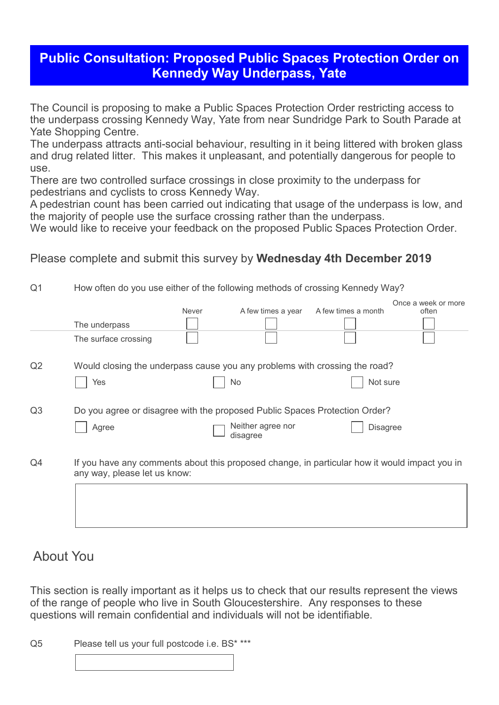## **Public Consultation: Proposed Public Spaces Protection Order on Kennedy Way Underpass, Yate**

The Council is proposing to make a Public Spaces Protection Order restricting access to the underpass crossing Kennedy Way, Yate from near Sundridge Park to South Parade at Yate Shopping Centre.

The underpass attracts anti-social behaviour, resulting in it being littered with broken glass and drug related litter. This makes it unpleasant, and potentially dangerous for people to use.

There are two controlled surface crossings in close proximity to the underpass for pedestrians and cyclists to cross Kennedy Way.

A pedestrian count has been carried out indicating that usage of the underpass is low, and the majority of people use the surface crossing rather than the underpass.

We would like to receive your feedback on the proposed Public Spaces Protection Order.

Please complete and submit this survey by **Wednesday 4th December 2019**

| Q1             | How often do you use either of the following methods of crossing Kennedy Way?                                                 |       |                               |                     |                              |
|----------------|-------------------------------------------------------------------------------------------------------------------------------|-------|-------------------------------|---------------------|------------------------------|
|                |                                                                                                                               | Never | A few times a year            | A few times a month | Once a week or more<br>often |
|                | The underpass                                                                                                                 |       |                               |                     |                              |
|                | The surface crossing                                                                                                          |       |                               |                     |                              |
| Q2             | Would closing the underpass cause you any problems with crossing the road?                                                    |       |                               |                     |                              |
|                | Yes                                                                                                                           |       | No                            | Not sure            |                              |
| Q <sub>3</sub> | Do you agree or disagree with the proposed Public Spaces Protection Order?                                                    |       |                               |                     |                              |
|                | Agree                                                                                                                         |       | Neither agree nor<br>disagree | <b>Disagree</b>     |                              |
| Q <sub>4</sub> | If you have any comments about this proposed change, in particular how it would impact you in<br>any way, please let us know: |       |                               |                     |                              |
|                |                                                                                                                               |       |                               |                     |                              |

## About You

This section is really important as it helps us to check that our results represent the views of the range of people who live in South Gloucestershire. Any responses to these questions will remain confidential and individuals will not be identifiable.

Q5 Please tell us your full postcode i.e. BS\* \*\*\*